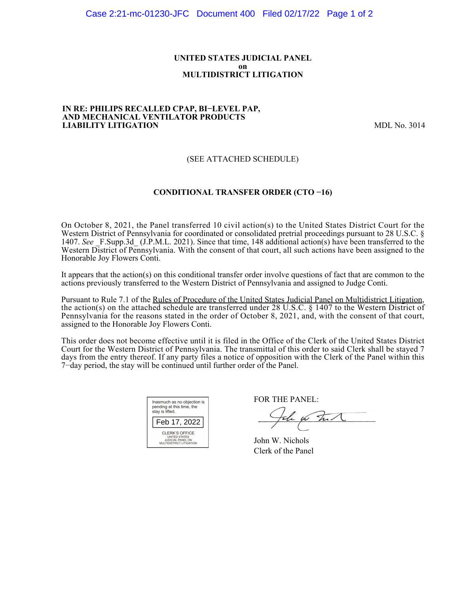### **UNITED STATES JUDICIAL PANEL on MULTIDISTRICT LITIGATION**

#### **IN RE: PHILIPS RECALLED CPAP, BI−LEVEL PAP, AND MECHANICAL VENTILATOR PRODUCTS LIABILITY LITIGATION** MDL No. 3014

## (SEE ATTACHED SCHEDULE)

### **CONDITIONAL TRANSFER ORDER (CTO −16)**

On October 8, 2021, the Panel transferred 10 civil action(s) to the United States District Court for the Western District of Pennsylvania for coordinated or consolidated pretrial proceedings pursuant to 28 U.S.C. § 1407. See F.Supp.3d (J.P.M.L. 2021). Since that time, 148 additional action(s) have been transferred to the Western District of Pennsylvania. With the consent of that court, all such actions have been assigned to the Honorable Joy Flowers Conti.

It appears that the action(s) on this conditional transfer order involve questions of fact that are common to the actions previously transferred to the Western District of Pennsylvania and assigned to Judge Conti.

Pursuant to Rule 7.1 of the Rules of Procedure of the United States Judicial Panel on Multidistrict Litigation, the action(s) on the attached schedule are transferred under 28 U.S.C. § 1407 to the Western District of Pennsylvania for the reasons stated in the order of October 8, 2021, and, with the consent of that court, assigned to the Honorable Joy Flowers Conti.

This order does not become effective until it is filed in the Office of the Clerk of the United States District Court for the Western District of Pennsylvania. The transmittal of this order to said Clerk shall be stayed 7 days from the entry thereof. If any party files a notice of opposition with the Clerk of the Panel within this 7−day period, the stay will be continued until further order of the Panel.

| Inasmuch as no objection is<br>pending at this time, the<br>stay is lifted.             |  |  |  |  |
|-----------------------------------------------------------------------------------------|--|--|--|--|
| Feb 17, 2022                                                                            |  |  |  |  |
| CLERK'S OFFICE<br><b>UNITED STATES</b><br>JUDICIAL PANEL ON<br>MULTIDISTRICT LITIGATION |  |  |  |  |

FOR THE PANEL:

John for Full

John W. Nichols Clerk of the Panel